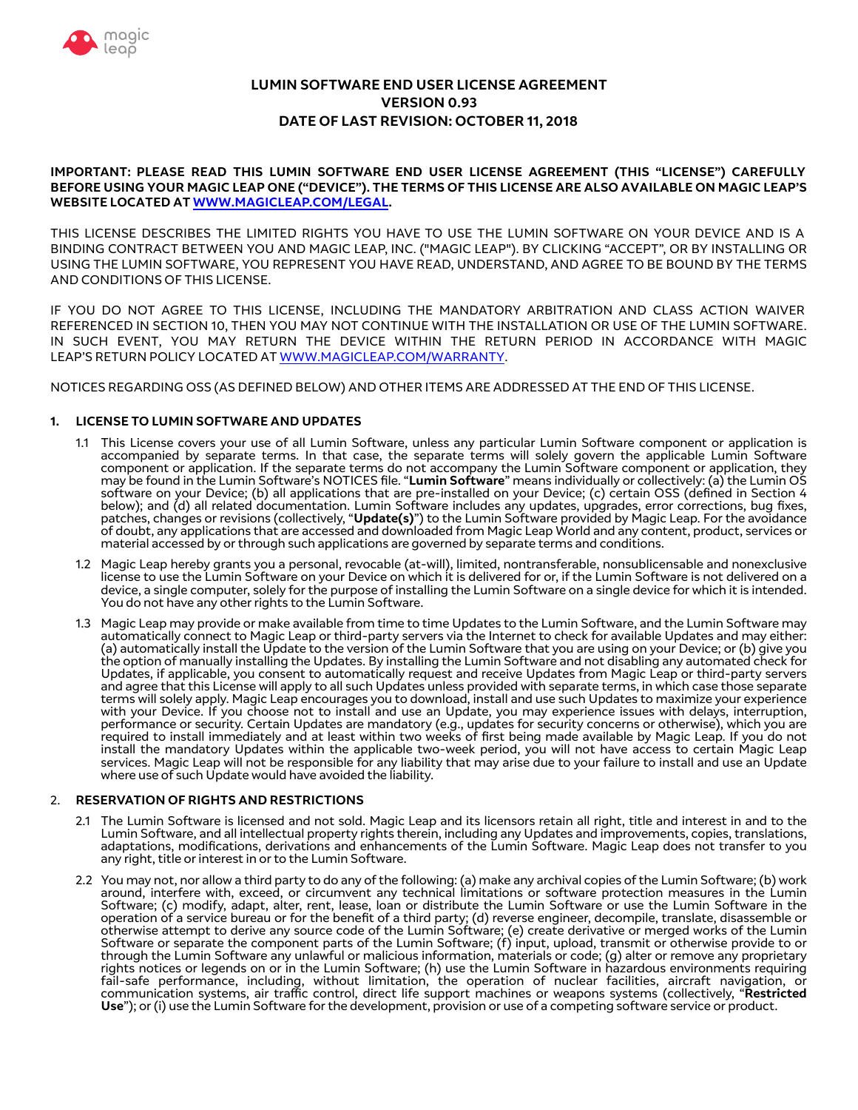

# **LUMIN SOFTWARE END USER LICENSE AGREEMENT VERSION 0.93 DATE OF LAST REVISION: OCTOBER 11, 2018**

### **IMPORTANT: PLEASE READ THIS LUMIN SOFTWARE END USER LICENSE AGREEMENT (THIS "LICENSE") CAREFULLY BEFORE USING YOUR MAGIC LEAP ONE ("DEVICE"). THE TERMS OF THIS LICENSE ARE ALSO AVAILABLE ON MAGIC LEAP'S WEBSITE LOCATED AT WWW.MAGICLEAP.COM/LEGAL.**

THIS LICENSE DESCRIBES THE LIMITED RIGHTS YOU HAVE TO USE THE LUMIN SOFTWARE ON YOUR DEVICE AND IS A BINDING CONTRACT BETWEEN YOU AND MAGIC LEAP, INC. ("MAGIC LEAP"). BY CLICKING "ACCEPT", OR BY INSTALLING OR USING THE LUMIN SOFTWARE, YOU REPRESENT YOU HAVE READ, UNDERSTAND, AND AGREE TO BE BOUND BY THE TERMS AND CONDITIONS OF THIS LICENSE.

IF YOU DO NOT AGREE TO THIS LICENSE, INCLUDING THE MANDATORY ARBITRATION AND CLASS ACTION WAIVER REFERENCED IN SECTION 10, THEN YOU MAY NOT CONTINUE WITH THE INSTALLATION OR USE OF THE LUMIN SOFTWARE. IN SUCH EVENT, YOU MAY RETURN THE DEVICE WITHIN THE RETURN PERIOD IN ACCORDANCE WITH MAGIC LEAP'S RETURN POLICY LOCATED AT WWW.MAGICLEAP.COM/WARRANTY.

NOTICES REGARDING OSS (AS DEFINED BELOW) AND OTHER ITEMS ARE ADDRESSED AT THE END OF THIS LICENSE.

### **1. LICENSE TO LUMIN SOFTWARE AND UPDATES**

- 1.1 This License covers your use of all Lumin Software, unless any particular Lumin Software component or application is accompanied by separate terms. In that case, the separate terms will solely govern the applicable Lumin Software component or application. If the separate terms do not accompany the Lumin Software component or application, they may be found in the Lumin Software's NOTICES fle. "**Lumin Software**" means individually or collectively: (a) the Lumin OS software on your Device; (b) all applications that are pre-installed on your Device; (c) certain OSS (defned in Section 4 below); and (d) all related documentation. Lumin Software includes any updates, upgrades, error corrections, bug fxes, patches, changes or revisions (collectively, "**Update(s)**") to the Lumin Software provided by Magic Leap. For the avoidance of doubt, any applications that are accessed and downloaded from Magic Leap World and any content, product, services or material accessed by or through such applications are governed by separate terms and conditions.
- 1.2 Magic Leap hereby grants you a personal, revocable (at-will), limited, nontransferable, nonsublicensable and nonexclusive license to use the Lumin Software on your Device on which it is delivered for or, if the Lumin Software is not delivered on a device, a single computer, solely for the purpose of installing the Lumin Software on a single device for which it is intended. You do not have any other rights to the Lumin Software.
- 1.3 Magic Leap may provide or make available from time to time Updates to the Lumin Software, and the Lumin Software may automatically connect to Magic Leap or third-party servers via the Internet to check for available Updates and may either: (a) automatically install the Update to the version of the Lumin Software that you are using on your Device; or (b) give you the option of manually installing the Updates. By installing the Lumin Software and not disabling any automated check for Updates, if applicable, you consent to automatically request and receive Updates from Magic Leap or third-party servers and agree that this License will apply to all such Updates unless provided with separate terms, in which case those separate terms will solely apply. Magic Leap encourages you to download, install and use such Updates to maximize your experience with your Device. If you choose not to install and use an Update, you may experience issues with delays, interruption, performance or security. Certain Updates are mandatory (e.g., updates for security concerns or otherwise), which you are required to install immediately and at least within two weeks of frst being made available by Magic Leap. If you do not install the mandatory Updates within the applicable two-week period, you will not have access to certain Magic Leap services. Magic Leap will not be responsible for any liability that may arise due to your failure to install and use an Update where use of such Update would have avoided the liability.

### 2. **RESERVATION OF RIGHTS AND RESTRICTIONS**

- 2.1 The Lumin Software is licensed and not sold. Magic Leap and its licensors retain all right, title and interest in and to the Lumin Software, and all intellectual property rights therein, including any Updates and improvements, copies, translations, adaptations, modifcations, derivations and enhancements of the Lumin Software. Magic Leap does not transfer to you any right, title or interest in or to the Lumin Software.
- 2.2 You may not, nor allow a third party to do any of the following: (a) make any archival copies of the Lumin Software; (b) work around, interfere with, exceed, or circumvent any technical limitations or software protection measures in the Lumin Software; (c) modify, adapt, alter, rent, lease, loan or distribute the Lumin Software or use the Lumin Software in the operation of a service bureau or for the benefit of a third party; (d) reverse engineer, decompile, translate, disassemble or<br>otherwise attempt to derive any source code of the Lumin Software; (e) create derivative or merg Software or separate the component parts of the Lumin Software; (f) input, upload, transmit or otherwise provide to or through the Lumin Software any unlawful or malicious information, materials or code; (g) alter or remove any proprietary rights notices or legends on or in the Lumin Software; (h) use the Lumin Software in hazardous environments requiring fail-safe performance, including, without limitation, the operation of nuclear facilities, aircraft navigation, or communication systems, air traffic control, direct life support machines or weapons systems (collectively, "**Restricted Use**"); or (i) use the Lumin Software for the development, provision or use of a competing software service or product.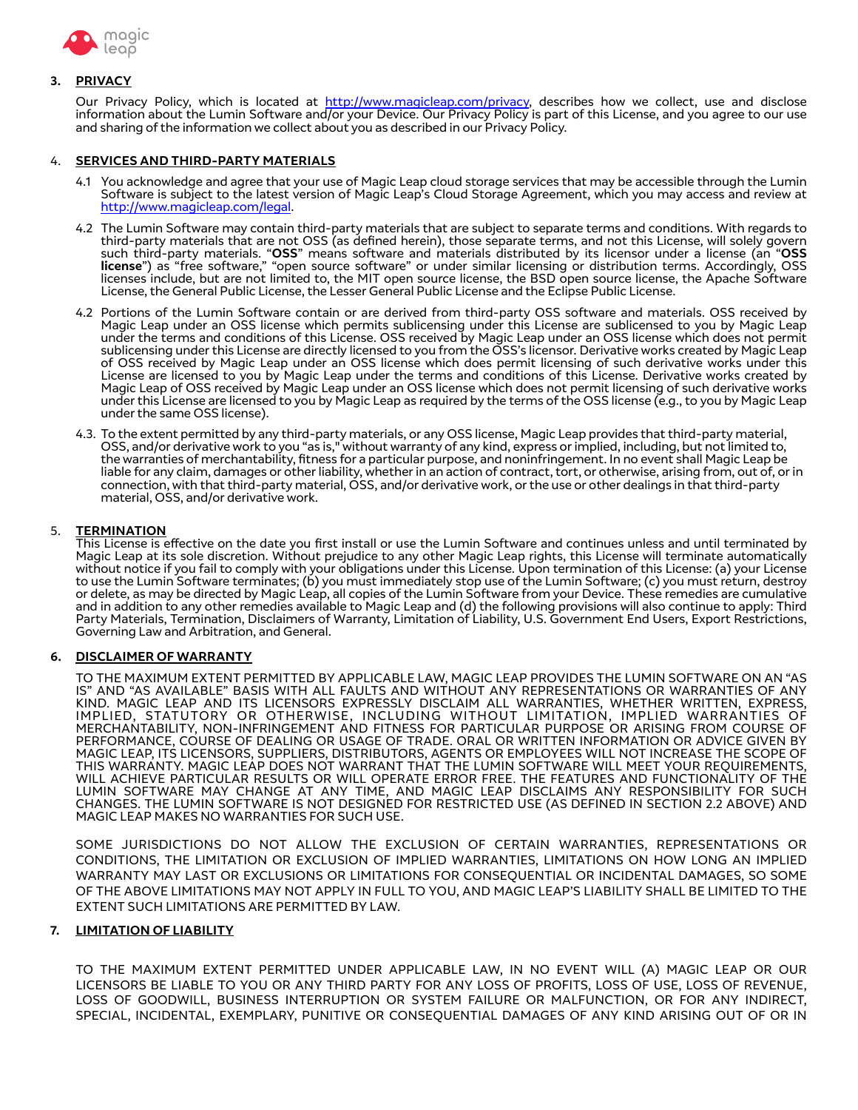

### **3. PRIVACY**

Our Privacy Policy, which is located at [http://www.magicleap.com/privacy,](http://www.magicleap.com/privacy) describes how we collect, use and disclose information about the Lumin Software and/or your Device. Our Privacy Policy is part of this License, and you agree to our use and sharing of the information we collect about you as described in our Privacy Policy.

#### 4. **SERVICES AND THIRD-PARTY MATERIALS**

- 4.1 You acknowledge and agree that your use of Magic Leap cloud storage services that may be accessible through the Lumin Software is subject to the latest version of Magic Leap's Cloud Storage Agreement, which you may access and review at [http://www.magicleap.com/legal.](http://www.magicleap.com/legal)
- 4.2 The Lumin Software may contain third-party materials that are subject to separate terms and conditions. With regards to third-party materials that are not OSS (as defned herein), those separate terms, and not this License, will solely govern such third-party materials. "**OSS**" means software and materials distributed by its licensor under a license (an "**OSS license**") as "free software," "open source software" or under similar licensing or distribution terms. Accordingly, OSS licenses include, but are not limited to, the MIT open source license, the BSD open source license, the Apache Software License, the General Public License, the Lesser General Public License and the Eclipse Public License.
- 4.2 Portions of the Lumin Software contain or are derived from third-party OSS software and materials. OSS received by Magic Leap under an OSS license which permits sublicensing under this License are sublicensed to you by Magic Leap under the terms and conditions of this License. OSS received by Magic Leap under an OSS license which does not permit sublicensing under this License are directly licensed to you from the OSS's licensor. Derivative works created by Magic Leap of OSS received by Magic Leap under an OSS license which does permit licensing of such derivative works under this License are licensed to you by Magic Leap under the terms and conditions of this License. Derivative works created by Magic Leap of OSS received by Magic Leap under an OSS license which does not permit licensing of such derivative works under this License are licensed to you by Magic Leap as required by the terms of the OSS license (e.g., to you by Magic Leap under the same OSS license).
- 4.3. To the extent permitted by any third-party materials, or any OSS license, Magic Leap provides that third-party material, OSS, and/or derivative work to you "as is," without warranty of any kind, express or implied, including, but not limited to, the warranties of merchantability, ftness for a particular purpose, and noninfringement. In no event shall Magic Leap be liable for any claim, damages or other liability, whether in an action of contract, tort, or otherwise, arising from, out of, or in connection, with that third-party material, OSS, and/or derivative work, or the use or other dealings in that third-party material, OSS, and/or derivative work.

#### 5. **TERMINATION**

This License is efective on the date you frst install or use the Lumin Software and continues unless and until terminated by Magic Leap at its sole discretion. Without prejudice to any other Magic Leap rights, this License will terminate automatically without notice if you fail to comply with your obligations under this License. Upon termination of this License: (a) your License to use the Lumin Software terminates; (b) you must immediately stop use of the Lumin Software; (c) you must return, destroy or delete, as may be directed by Magic Leap, all copies of the Lumin Software from your Device. These remedies are cumulative and in addition to any other remedies available to Magic Leap and (d) the following provisions will also continue to apply: Third Party Materials, Termination, Disclaimers of Warranty, Limitation of Liability, U.S. Government End Users, Export Restrictions, Governing Law and Arbitration, and General.

### **6. DISCLAIMER OF WARRANTY**

TO THE MAXIMUM EXTENT PERMITTED BY APPLICABLE LAW, MAGIC LEAP PROVIDES THE LUMIN SOFTWARE ON AN "AS IS" AND "AS AVAILABLE" BASIS WITH ALL FAULTS AND WITHOUT ANY REPRESENTATIONS OR WARRANTIES OF ANY KIND. MAGIC LEAP AND ITS LICENSORS EXPRESSLY DISCLAIM ALL WARRANTIES, WHETHER WRITTEN, EXPRESS, IMPLIED, STATUTORY OR OTHERWISE, INCLUDING WITHOUT LIMITATION, IMPLIED WARRANTIES OF MERCHANTABILITY, NON-INFRINGEMENT AND FITNESS FOR PARTICULAR PURPOSE OR ARISING FROM COURSE OF PERFORMANCE, COURSE OF DEALING OR USAGE OF TRADE. ORAL OR WRITTEN INFORMATION OR ADVICE GIVEN BY MAGIC LEAP, ITS LICENSORS, SUPPLIERS, DISTRIBUTORS, AGENTS OR EMPLOYEES WILL NOT INCREASE THE SCOPE OF THIS WARRANTY. MAGIC LEAP DOES NOT WARRANT THAT THE LUMIN SOFTWARE WILL MEET YOUR REQUIREMENTS, WILL ACHIEVE PARTICULAR RESULTS OR WILL OPERATE ERROR FREE. THE FEATURES AND FUNCTIONALITY OF THE LUMIN SOFTWARE MAY CHANGE AT ANY TIME, AND MAGIC LEAP DISCLAIMS ANY RESPONSIBILITY FOR SUCH CHANGES. THE LUMIN SOFTWARE IS NOT DESIGNED FOR RESTRICTED USE (AS DEFINED IN SECTION 2.2 ABOVE) AND MAGIC LEAP MAKES NO WARRANTIES FOR SUCH USE.

SOME JURISDICTIONS DO NOT ALLOW THE EXCLUSION OF CERTAIN WARRANTIES, REPRESENTATIONS OR CONDITIONS, THE LIMITATION OR EXCLUSION OF IMPLIED WARRANTIES, LIMITATIONS ON HOW LONG AN IMPLIED WARRANTY MAY LAST OR EXCLUSIONS OR LIMITATIONS FOR CONSEQUENTIAL OR INCIDENTAL DAMAGES, SO SOME OF THE ABOVE LIMITATIONS MAY NOT APPLY IN FULL TO YOU, AND MAGIC LEAP'S LIABILITY SHALL BE LIMITED TO THE EXTENT SUCH LIMITATIONS ARE PERMITTED BY LAW.

### **7. LIMITATION OF LIABILITY**

TO THE MAXIMUM EXTENT PERMITTED UNDER APPLICABLE LAW, IN NO EVENT WILL (A) MAGIC LEAP OR OUR LICENSORS BE LIABLE TO YOU OR ANY THIRD PARTY FOR ANY LOSS OF PROFITS, LOSS OF USE, LOSS OF REVENUE, LOSS OF GOODWILL, BUSINESS INTERRUPTION OR SYSTEM FAILURE OR MALFUNCTION, OR FOR ANY INDIRECT, SPECIAL, INCIDENTAL, EXEMPLARY, PUNITIVE OR CONSEQUENTIAL DAMAGES OF ANY KIND ARISING OUT OF OR IN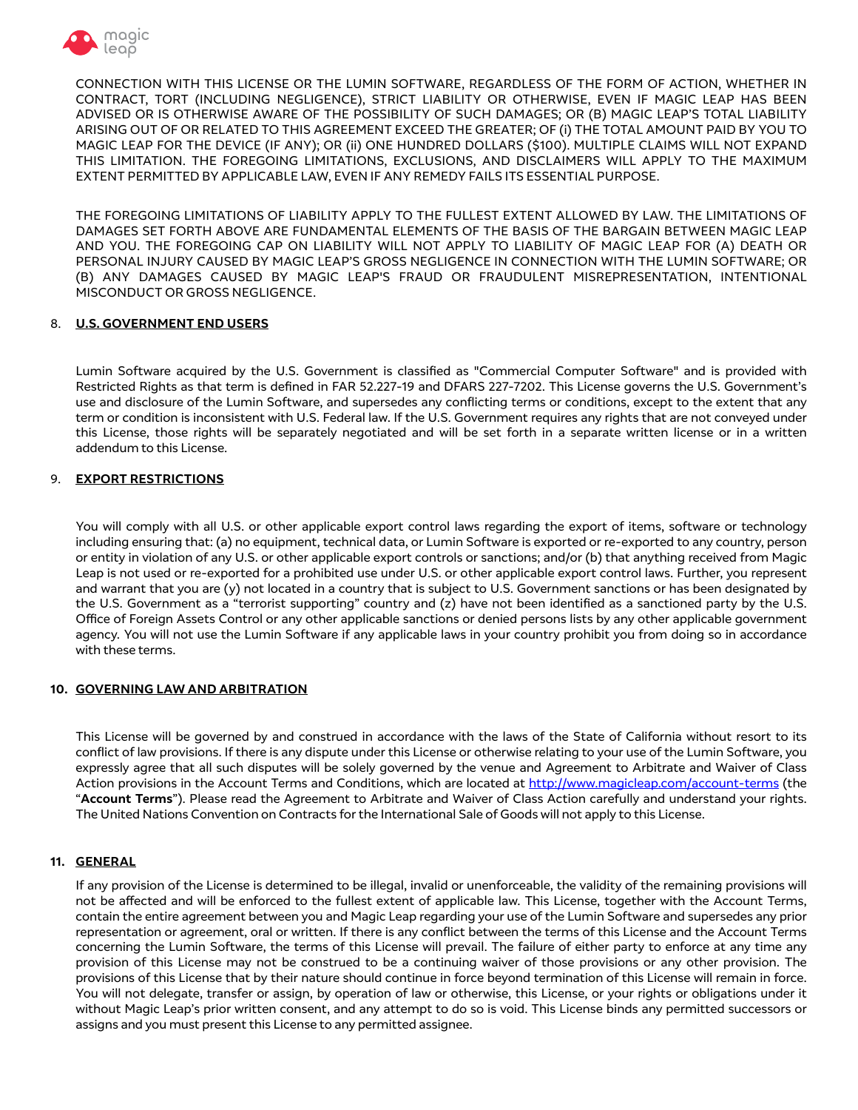

CONNECTION WITH THIS LICENSE OR THE LUMIN SOFTWARE, REGARDLESS OF THE FORM OF ACTION, WHETHER IN CONTRACT, TORT (INCLUDING NEGLIGENCE), STRICT LIABILITY OR OTHERWISE, EVEN IF MAGIC LEAP HAS BEEN ADVISED OR IS OTHERWISE AWARE OF THE POSSIBILITY OF SUCH DAMAGES; OR (B) MAGIC LEAP'S TOTAL LIABILITY ARISING OUT OF OR RELATED TO THIS AGREEMENT EXCEED THE GREATER; OF (i) THE TOTAL AMOUNT PAID BY YOU TO MAGIC LEAP FOR THE DEVICE (IF ANY); OR (ii) ONE HUNDRED DOLLARS (\$100). MULTIPLE CLAIMS WILL NOT EXPAND THIS LIMITATION. THE FOREGOING LIMITATIONS, EXCLUSIONS, AND DISCLAIMERS WILL APPLY TO THE MAXIMUM EXTENT PERMITTED BY APPLICABLE LAW, EVEN IF ANY REMEDY FAILS ITS ESSENTIAL PURPOSE.

THE FOREGOING LIMITATIONS OF LIABILITY APPLY TO THE FULLEST EXTENT ALLOWED BY LAW. THE LIMITATIONS OF DAMAGES SET FORTH ABOVE ARE FUNDAMENTAL ELEMENTS OF THE BASIS OF THE BARGAIN BETWEEN MAGIC LEAP AND YOU. THE FOREGOING CAP ON LIABILITY WILL NOT APPLY TO LIABILITY OF MAGIC LEAP FOR (A) DEATH OR PERSONAL INJURY CAUSED BY MAGIC LEAP'S GROSS NEGLIGENCE IN CONNECTION WITH THE LUMIN SOFTWARE; OR (B) ANY DAMAGES CAUSED BY MAGIC LEAP'S FRAUD OR FRAUDULENT MISREPRESENTATION, INTENTIONAL MISCONDUCT OR GROSS NEGLIGENCE.

### 8. **U.S. GOVERNMENT END USERS**

Lumin Software acquired by the U.S. Government is classifed as "Commercial Computer Software" and is provided with Restricted Rights as that term is defned in FAR 52.227-19 and DFARS 227-7202. This License governs the U.S. Government's use and disclosure of the Lumin Software, and supersedes any conficting terms or conditions, except to the extent that any term or condition is inconsistent with U.S. Federal law. If the U.S. Government requires any rights that are not conveyed under this License, those rights will be separately negotiated and will be set forth in a separate written license or in a written addendum to this License.

## 9. **EXPORT RESTRICTIONS**

You will comply with all U.S. or other applicable export control laws regarding the export of items, software or technology including ensuring that: (a) no equipment, technical data, or Lumin Software is exported or re-exported to any country, person or entity in violation of any U.S. or other applicable export controls or sanctions; and/or (b) that anything received from Magic Leap is not used or re-exported for a prohibited use under U.S. or other applicable export control laws. Further, you represent and warrant that you are (y) not located in a country that is subject to U.S. Government sanctions or has been designated by the U.S. Government as a "terrorist supporting" country and (z) have not been identifed as a sanctioned party by the U.S. Office of Foreign Assets Control or any other applicable sanctions or denied persons lists by any other applicable government agency. You will not use the Lumin Software if any applicable laws in your country prohibit you from doing so in accordance with these terms.

## **10. GOVERNING LAW AND ARBITRATION**

This License will be governed by and construed in accordance with the laws of the State of California without resort to its confict of law provisions. If there is any dispute under this License or otherwise relating to your use of the Lumin Software, you expressly agree that all such disputes will be solely governed by the venue and Agreement to Arbitrate and Waiver of Class Action provisions in the Account Terms and Conditions, which are located at <http://www.magicleap.com/account-terms> (the "**Account Terms**"). Please read the Agreement to Arbitrate and Waiver of Class Action carefully and understand your rights. The United Nations Convention on Contracts for the International Sale of Goods will not apply to this License.

## **11. GENERAL**

If any provision of the License is determined to be illegal, invalid or unenforceable, the validity of the remaining provisions will not be afected and will be enforced to the fullest extent of applicable law. This License, together with the Account Terms, contain the entire agreement between you and Magic Leap regarding your use of the Lumin Software and supersedes any prior representation or agreement, oral or written. If there is any confict between the terms of this License and the Account Terms concerning the Lumin Software, the terms of this License will prevail. The failure of either party to enforce at any time any provision of this License may not be construed to be a continuing waiver of those provisions or any other provision. The provisions of this License that by their nature should continue in force beyond termination of this License will remain in force. You will not delegate, transfer or assign, by operation of law or otherwise, this License, or your rights or obligations under it without Magic Leap's prior written consent, and any attempt to do so is void. This License binds any permitted successors or assigns and you must present this License to any permitted assignee.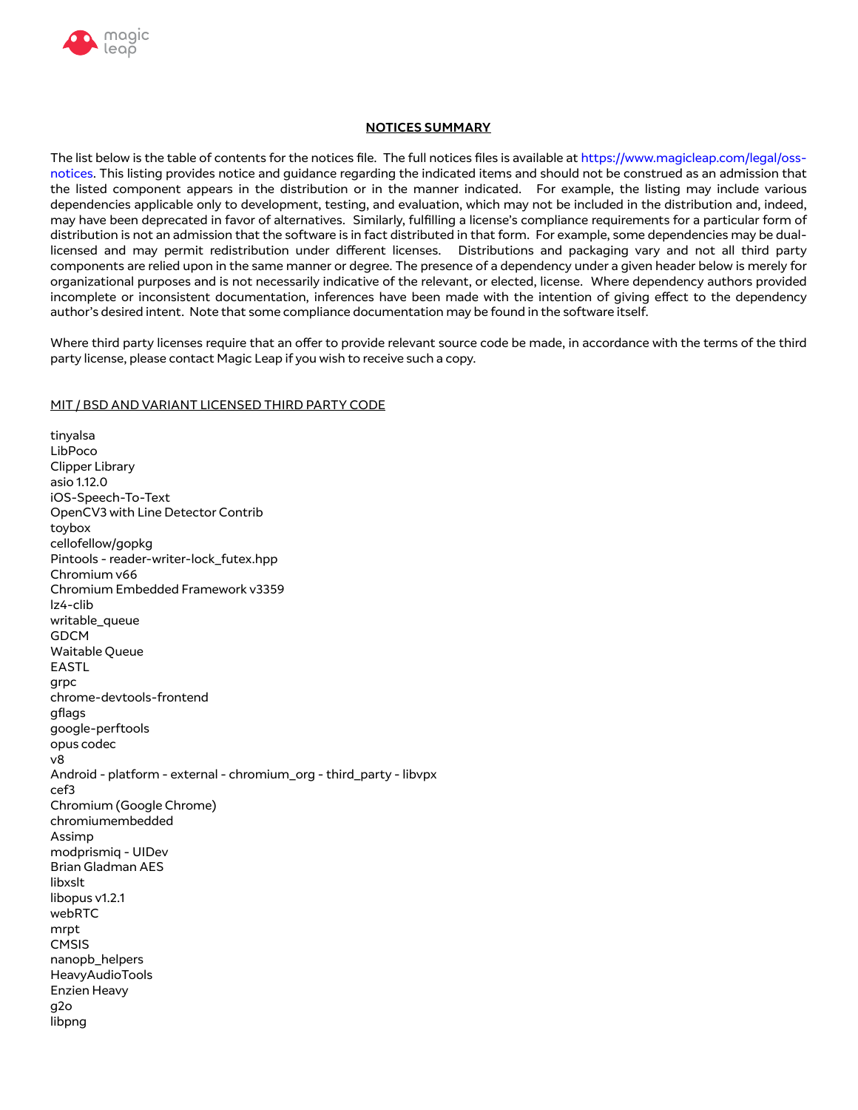

### **NOTICES SUMMARY**

The list below is the table of contents for the notices fle. The full notices fles is available at [https://www.magicleap.com/legal/oss](https://www.magicleap.com/legal/oss-notices)[notices](https://www.magicleap.com/legal/oss-notices). This listing provides notice and guidance regarding the indicated items and should not be construed as an admission that the listed component appears in the distribution or in the manner indicated. For example, the listing may include various dependencies applicable only to development, testing, and evaluation, which may not be included in the distribution and, indeed, may have been deprecated in favor of alternatives. Similarly, fulflling a license's compliance requirements for a particular form of distribution is not an admission that the software is in fact distributed in that form. For example, some dependencies may be duallicensed and may permit redistribution under diferent licenses. Distributions and packaging vary and not all third party components are relied upon in the same manner or degree. The presence of a dependency under a given header below is merely for organizational purposes and is not necessarily indicative of the relevant, or elected, license. Where dependency authors provided incomplete or inconsistent documentation, inferences have been made with the intention of giving efect to the dependency author's desired intent. Note that some compliance documentation may be found in the software itself.

Where third party licenses require that an offer to provide relevant source code be made, in accordance with the terms of the third party license, please contact Magic Leap if you wish to receive such a copy.

### MIT / BSD AND VARIANT LICENSED THIRD PARTY CODE

tinyalsa LibPoco Clipper Library asio 1.12.0 iOS-Speech-To-Text OpenCV3 with Line Detector Contrib toybox cellofellow/gopkg Pintools - reader-writer-lock\_futex.hpp Chromium v66 Chromium Embedded Framework v3359 lz4-clib writable\_queue GDCM Waitable Queue EASTL grpc chrome-devtools-frontend gflags google-perftools opus codec v8 Android - platform - external - chromium\_org - third\_party - libvpx cef3 Chromium (Google Chrome) chromiumembedded Assimp modprismiq - UIDev Brian Gladman AES libxslt libopus v1.2.1 webRTC mrpt **CMSIS** nanopb\_helpers HeavyAudioTools Enzien Heavy g2o libpng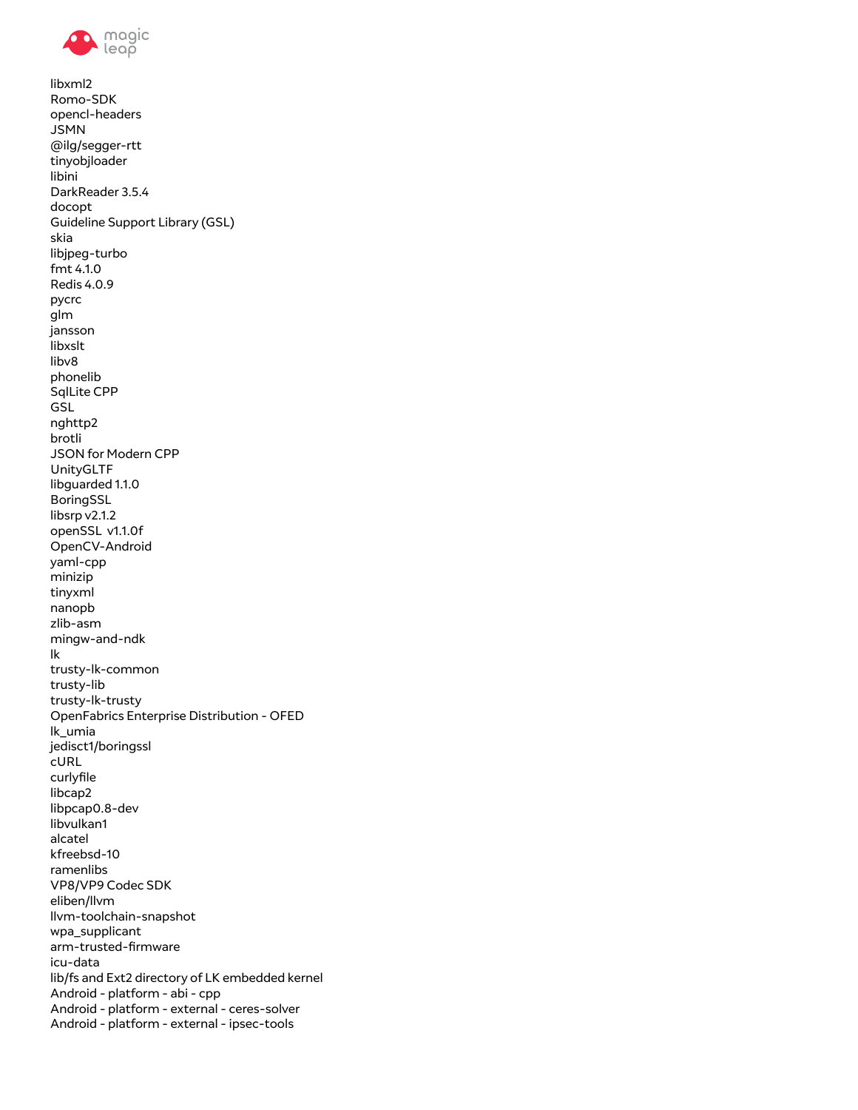

```
libxml2
Romo-SDK
opencl-headers
JSMN
@ilg/segger-rtt
tinyobjloader
libini
DarkReader 3.5.4
docopt
Guideline Support Library (GSL)
skia
libjpeg-turbo
fmt 4.1.0Redis 4.0.9
pycrc
glm
jansson
libxslt
libv8
phonelib
SqlLite CPP
GSL
nghttp2
brotli
JSON for Modern CPP
UnityGLTF
libguarded 1.1.0
BoringSSL
libsrp v2.1.2
openSSL v1.1.0f
OpenCV-Android
yaml-cpp
minizip
tinyxml
nanopb
zlib-asm
mingw-and-ndk
lk
trusty-lk-common
trusty-lib
trusty-lk-trusty
OpenFabrics Enterprise Distribution - OFED
lk_umia
jedisct1/boringssl
cURLcurlyfile
libcap2
libpcap0.8-dev
libvulkan1
alcatel
kfreebsd-10
ramenlibs
VP8/VP9 Codec SDK
eliben/llvm
Ilvm-toolchain-snapshot
wpa_supplicant
arm-trusted-firmware
icu-data
lib/fs and Ext2 directory of LK embedded kernel
Android - platform - abi - cpp
Android - platform - external - ceres-solver
Android - platform - external - ipsec-tools
```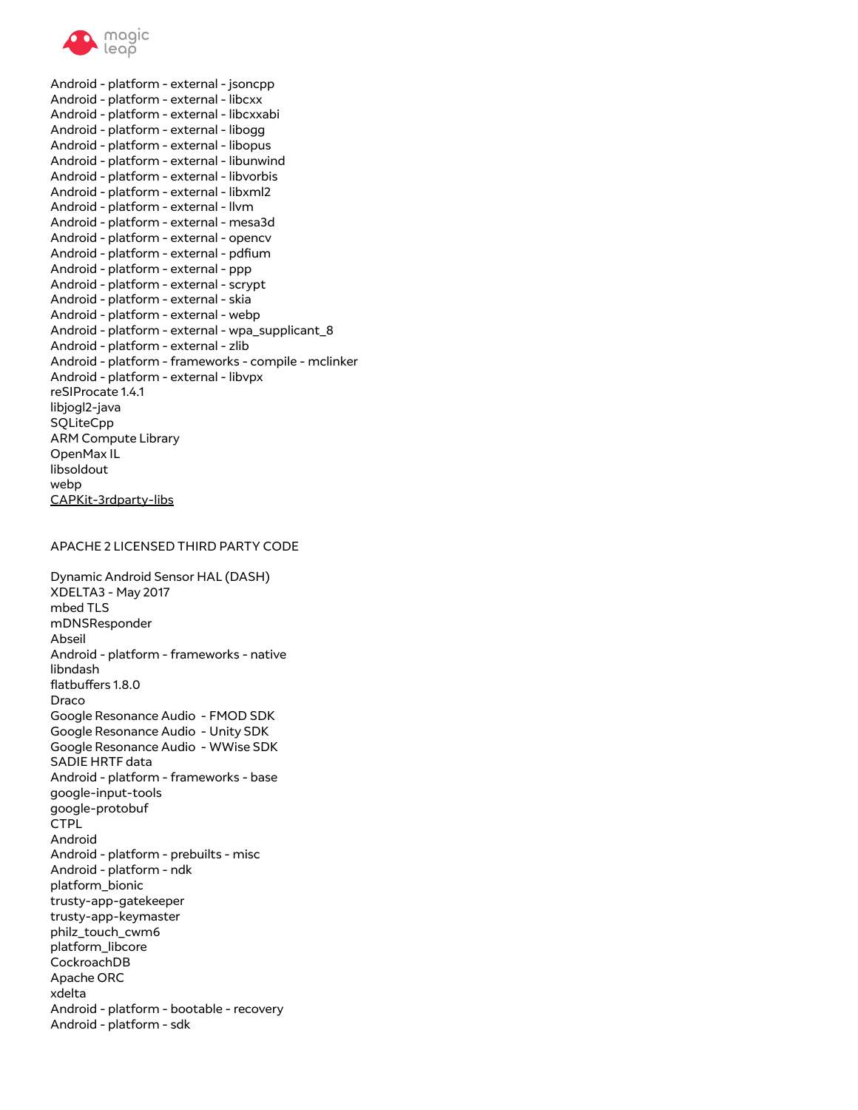

Android - platform - external - jsoncpp Android - platform - external - libcxx Android - platform - external - libcxxabi Android - platform - external - libogg Android - platform - external - libopus Android - platform - external - libunwind Android - platform - external - libvorbis Android - platform - external - libxml2 Android - platform - external - llvm Android - platform - external - mesa3d Android - platform - external - opencv Android - platform - external - pdfum Android - platform - external - ppp Android - platform - external - scrypt Android - platform - external - skia Android - platform - external - webp Android - platform - external - wpa\_supplicant\_8 Android - platform - external - zlib Android - platform - frameworks - compile - mclinker Android - platform - external - libvpx reSIProcate 1.4.1 libjogl2-java SQLiteCpp ARM Compute Library OpenMax IL libsoldout webp CAPKit-3rdparty-libs

#### APACHE 2 LICENSED THIRD PARTY CODE

Dynamic Android Sensor HAL (DASH) XDELTA3 - May 2017 mbed TLS mDNSResponder Abseil Android - platform - frameworks - native libndash flatbuffers 1.8.0 Draco Google Resonance Audio - FMOD SDK Google Resonance Audio - Unity SDK Google Resonance Audio - WWise SDK SADIE HRTF data Android - platform - frameworks - base google-input-tools google-protobuf **CTPL** Android Android - platform - prebuilts - misc Android - platform - ndk platform\_bionic trusty-app-gatekeeper trusty-app-keymaster philz\_touch\_cwm6 platform\_libcore CockroachDB Apache ORC xdelta Android - platform - bootable - recovery Android - platform - sdk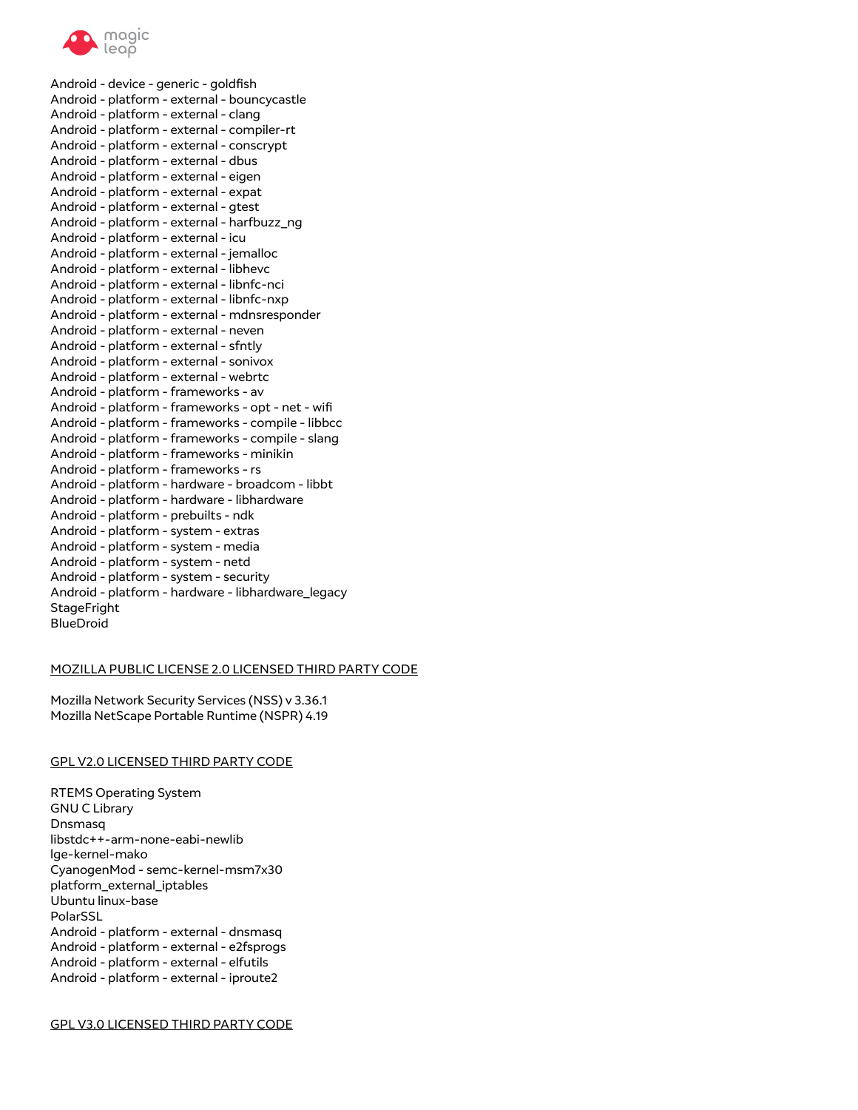

Android - device - generic - goldfsh Android - platform - external - bouncycastle Android - platform - external - clang Android - platform - external - compiler-rt Android - platform - external - conscrypt Android - platform - external - dbus Android - platform - external - eigen Android - platform - external - expat Android - platform - external - gtest Android - platform - external - harfbuzz\_ng Android - platform - external - icu Android - platform - external - jemalloc Android - platform - external - libhevc Android - platform - external - libnfc-nci Android - platform - external - libnfc-nxp Android - platform - external - mdnsresponder Android - platform - external - neven Android - platform - external - sfntly Android - platform - external - sonivox Android - platform - external - webrtc Android - platform - frameworks - av Android - platform - frameworks - opt - net - wif Android - platform - frameworks - compile - libbcc Android - platform - frameworks - compile - slang Android - platform - frameworks - minikin Android - platform - frameworks - rs Android - platform - hardware - broadcom - libbt Android - platform - hardware - libhardware Android - platform - prebuilts - ndk Android - platform - system - extras Android - platform - system - media Android - platform - system - netd Android - platform - system - security Android - platform - hardware - libhardware\_legacy **StageFright** BlueDroid

### MOZILLA PUBLIC LICENSE 2.0 LICENSED THIRD PARTY CODE

Mozilla Network Security Services (NSS) v 3.36.1 Mozilla NetScape Portable Runtime (NSPR) 4.19

### GPL V2.0 LICENSED THIRD PARTY CODE

RTEMS Operating System GNU C Library Dnsmasq libstdc++-arm-none-eabi-newlib lge-kernel-mako CyanogenMod - semc-kernel-msm7x30 platform\_external\_iptables Ubuntu linux-base PolarSSL Android - platform - external - dnsmasq Android - platform - external - e2fsprogs Android - platform - external - elfutils Android - platform - external - iproute2

GPL V3.0 LICENSED THIRD PARTY CODE